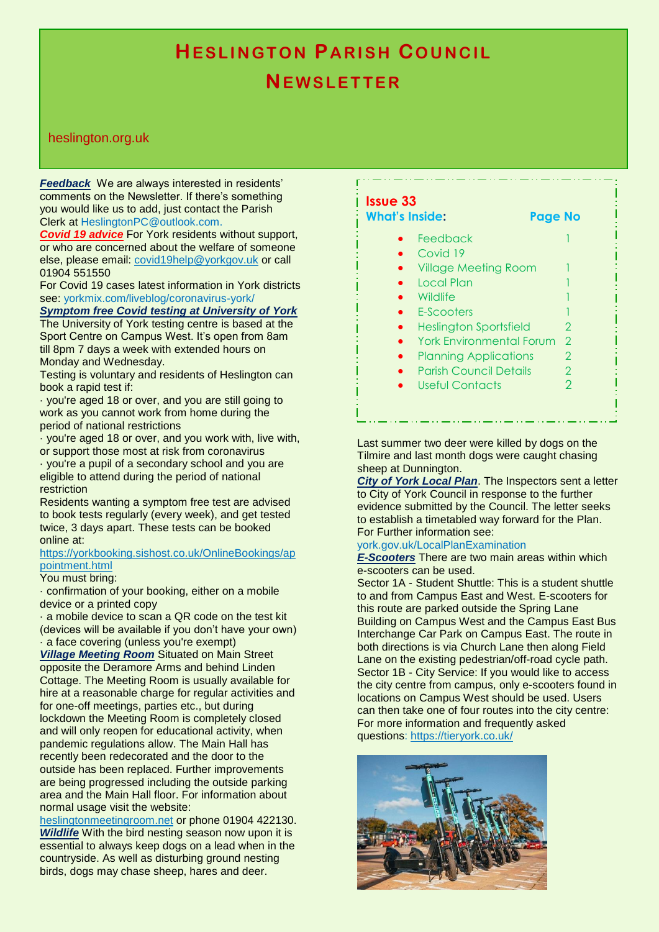# tdowerecause sheep. The charge of the sheep. **HESLINGTON PARISH COUNCIL NE W S L E T T E R**

### heslington.org.uk

*Feedback* We are always interested in residents' comments on the Newsletter. If there's something you would like us to add, just contact the Parish Clerk at HeslingtonPC@outlook.com.

*Covid 19 advice* For York residents without support, or who are concerned about the welfare of someone else, please email: [covid19help@yorkgov.uk](mailto:covid19help@yorkgov.uk) or call 01904 551550

For Covid 19 cases latest information in York districts see: yorkmix.com/liveblog/coronavirus-york/

## *Symptom free Covid testing at University of York*

The University of York testing centre is based at the Sport Centre on Campus West. It's open from 8am till 8pm 7 days a week with extended hours on Monday and Wednesday.

Testing is voluntary and residents of Heslington can book a rapid test if:

· you're aged 18 or over, and you are still going to work as you cannot work from home during the period of national restrictions

· you're aged 18 or over, and you work with, live with, or support those most at risk from coronavirus

· you're a pupil of a secondary school and you are eligible to attend during the period of national restriction

Residents wanting a symptom free test are advised to book tests regularly (every week), and get tested twice, 3 days apart. These tests can be booked online at:

#### [https://yorkbooking.sishost.co.uk/OnlineBookings/ap](https://yorkbooking.sishost.co.uk/OnlineBookings/appointment.html) [pointment.html](https://yorkbooking.sishost.co.uk/OnlineBookings/appointment.html)

### You must bring:

· confirmation of your booking, either on a mobile device or a printed copy

· a mobile device to scan a QR code on the test kit (devices will be available if you don't have your own) · a face covering (unless you're exempt)

*Village Meeting Room* Situated on Main Street opposite the Deramore Arms and behind Linden Cottage. The Meeting Room is usually available for hire at a reasonable charge for regular activities and for one-off meetings, parties etc., but during lockdown the Meeting Room is completely closed and will only reopen for educational activity, when pandemic regulations allow. The Main Hall has recently been redecorated and the door to the outside has been replaced. Further improvements are being progressed including the outside parking area and the Main Hall floor. For information about normal usage visit the website:

[heslingtonmeetingroom.net](http://www.heslingtonmeetingroom.net/) or phone 01904 422130. *Wildlife* With the bird nesting season now upon it is essential to always keep dogs on a lead when in the countryside. As well as disturbing ground nesting birds, dogs may chase sheep, hares and deer.

| <b>Issue 33</b><br><b>What's Inside:</b><br><b>Page No</b> |                |
|------------------------------------------------------------|----------------|
| Feedback                                                   |                |
| Covid 19                                                   |                |
| <b>Village Meeting Room</b>                                |                |
| Local Plan                                                 |                |
| Wildlife                                                   |                |
| E-Scooters                                                 |                |
| <b>Heslington Sportsfield</b>                              | 2              |
| <b>York Environmental Forum</b>                            | $\mathcal{P}$  |
| <b>Planning Applications</b>                               | 2              |
| <b>Parish Council Details</b>                              | $\overline{2}$ |
| Useful Contacts                                            | 2              |

Last summer two deer were killed by dogs on the Tilmire and last month dogs were caught chasing sheep at Dunnington.

*City of York Local Plan*. The Inspectors sent a letter to City of York Council in response to the further evidence submitted by the Council. The letter seeks to establish a timetabled way forward for the Plan. For Further information see:

#### york.gov.uk/LocalPlanExamination

*E-Scooters* There are two main areas within which e-scooters can be used.

Sector 1A - Student Shuttle: This is a student shuttle to and from Campus East and West. E-scooters for this route are parked outside the Spring Lane Building on Campus West and the Campus East Bus Interchange Car Park on Campus East. The route in both directions is via Church Lane then along Field Lane on the existing pedestrian/off-road cycle path. Sector 1B - City Service: If you would like to access the city centre from campus, only e-scooters found in locations on Campus West should be used. Users can then take one of four routes into the city centre: For more information and frequently asked questions:<https://tieryork.co.uk/>